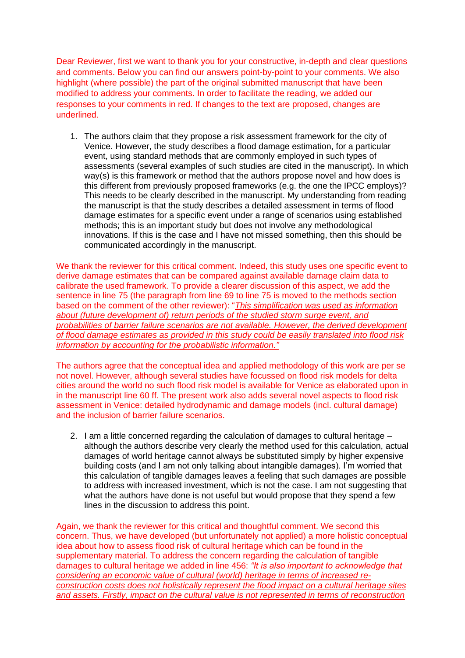Dear Reviewer, first we want to thank you for your constructive, in-depth and clear questions and comments. Below you can find our answers point-by-point to your comments. We also highlight (where possible) the part of the original submitted manuscript that have been modified to address your comments. In order to facilitate the reading, we added our responses to your comments in red. If changes to the text are proposed, changes are underlined.

1. The authors claim that they propose a risk assessment framework for the city of Venice. However, the study describes a flood damage estimation, for a particular event, using standard methods that are commonly employed in such types of assessments (several examples of such studies are cited in the manuscript). In which way(s) is this framework or method that the authors propose novel and how does is this different from previously proposed frameworks (e.g. the one the IPCC employs)? This needs to be clearly described in the manuscript. My understanding from reading the manuscript is that the study describes a detailed assessment in terms of flood damage estimates for a specific event under a range of scenarios using established methods; this is an important study but does not involve any methodological innovations. If this is the case and I have not missed something, then this should be communicated accordingly in the manuscript.

We thank the reviewer for this critical comment. Indeed, this study uses one specific event to derive damage estimates that can be compared against available damage claim data to calibrate the used framework. To provide a clearer discussion of this aspect, we add the sentence in line 75 (the paragraph from line 69 to line 75 is moved to the methods section based on the comment of the other reviewer): "*This simplification was used as information about (future development of) return periods of the studied storm surge event, and probabilities of barrier failure scenarios are not available. However, the derived development of flood damage estimates as provided in this study could be easily translated into flood risk information by accounting for the probabilistic information."*

The authors agree that the conceptual idea and applied methodology of this work are per se not novel. However, although several studies have focussed on flood risk models for delta cities around the world no such flood risk model is available for Venice as elaborated upon in in the manuscript line 60 ff. The present work also adds several novel aspects to flood risk assessment in Venice: detailed hydrodynamic and damage models (incl. cultural damage) and the inclusion of barrier failure scenarios.

2. I am a little concerned regarding the calculation of damages to cultural heritage – although the authors describe very clearly the method used for this calculation, actual damages of world heritage cannot always be substituted simply by higher expensive building costs (and I am not only talking about intangible damages). I'm worried that this calculation of tangible damages leaves a feeling that such damages are possible to address with increased investment, which is not the case. I am not suggesting that what the authors have done is not useful but would propose that they spend a few lines in the discussion to address this point.

Again, we thank the reviewer for this critical and thoughtful comment. We second this concern. Thus, we have developed (but unfortunately not applied) a more holistic conceptual idea about how to assess flood risk of cultural heritage which can be found in the supplementary material. To address the concern regarding the calculation of tangible damages to cultural heritage we added in line 456: *"It is also important to acknowledge that considering an economic value of cultural (world) heritage in terms of increased reconstruction costs does not holistically represent the flood impact on a cultural heritage sites and assets. Firstly, impact on the cultural value is not represented in terms of reconstruction*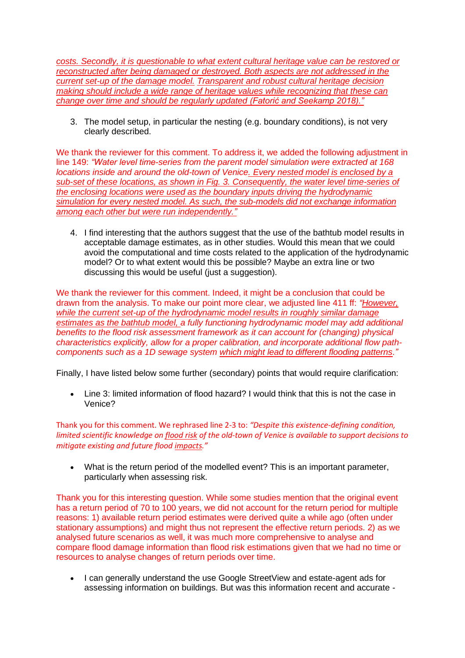*costs. Secondly, it is questionable to what extent cultural heritage value can be restored or reconstructed after being damaged or destroyed. Both aspects are not addressed in the current set-up of the damage model. Transparent and robust cultural heritage decision making should include a wide range of heritage values while recognizing that these can change over time and should be regularly updated (Fatorić and Seekamp 2018)."*

3. The model setup, in particular the nesting (e.g. boundary conditions), is not very clearly described.

We thank the reviewer for this comment. To address it, we added the following adjustment in line 149: *"Water level time-series from the parent model simulation were extracted at 168 locations inside and around the old-town of Venice. Every nested model is enclosed by a sub-set of these locations, as shown in Fig. 3. Consequently, the water level time-series of the enclosing locations were used as the boundary inputs driving the hydrodynamic simulation for every nested model. As such, the sub-models did not exchange information among each other but were run independently."*

4. I find interesting that the authors suggest that the use of the bathtub model results in acceptable damage estimates, as in other studies. Would this mean that we could avoid the computational and time costs related to the application of the hydrodynamic model? Or to what extent would this be possible? Maybe an extra line or two discussing this would be useful (just a suggestion).

We thank the reviewer for this comment. Indeed, it might be a conclusion that could be drawn from the analysis. To make our point more clear, we adjusted line 411 ff: *"However, while the current set-up of the hydrodynamic model results in roughly similar damage estimates as the bathtub model, a fully functioning hydrodynamic model may add additional benefits to the flood risk assessment framework as it can account for (changing) physical characteristics explicitly, allow for a proper calibration, and incorporate additional flow pathcomponents such as a 1D sewage system which might lead to different flooding patterns."*

Finally, I have listed below some further (secondary) points that would require clarification:

• Line 3: limited information of flood hazard? I would think that this is not the case in Venice?

Thank you for this comment. We rephrased line 2-3 to: *"Despite this existence-defining condition, limited scientific knowledge on flood risk of the old-town of Venice is available to support decisions to mitigate existing and future flood impacts."*

• What is the return period of the modelled event? This is an important parameter, particularly when assessing risk.

Thank you for this interesting question. While some studies mention that the original event has a return period of 70 to 100 years, we did not account for the return period for multiple reasons: 1) available return period estimates were derived quite a while ago (often under stationary assumptions) and might thus not represent the effective return periods. 2) as we analysed future scenarios as well, it was much more comprehensive to analyse and compare flood damage information than flood risk estimations given that we had no time or resources to analyse changes of return periods over time.

• I can generally understand the use Google StreetView and estate-agent ads for assessing information on buildings. But was this information recent and accurate -